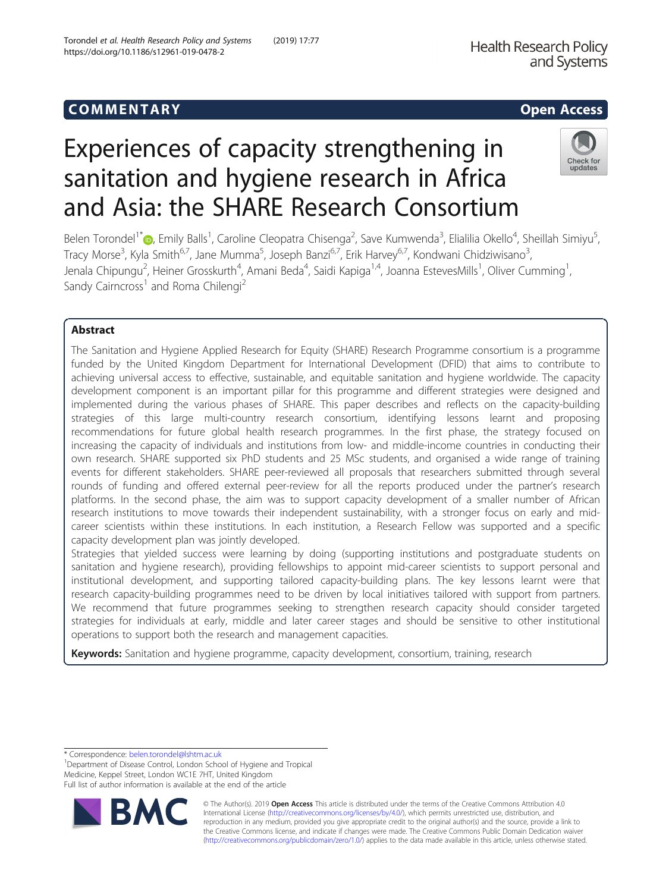# COMM EN TARY Open Access



## Experiences of capacity strengthening in sanitation and hygiene research in Africa and Asia: the SHARE Research Consortium

Belen Torondel<sup>1\*</sup> (D[,](http://orcid.org/0000-0001-6081-2156) Emily Balls<sup>1</sup>, Caroline Cleopatra Chisenga<sup>2</sup>, Save Kumwenda<sup>3</sup>, Elialilia Okello<sup>4</sup>, Sheillah Simiyu<sup>5</sup> , Tracy Morse<sup>3</sup>, Kyla Smith<sup>6,7</sup>, Jane Mumma<sup>5</sup>, Joseph Banzi<sup>6,7</sup>, Erik Harvey<sup>6,7</sup>, Kondwani Chidziwisano<sup>3</sup> , Jenala Chipungu<sup>2</sup>, Heiner Grosskurth<sup>4</sup>, Amani Beda<sup>4</sup>, Saidi Kapiga<sup>1,4</sup>, Joanna EstevesMills<sup>1</sup>, Oliver Cumming<sup>1</sup> , Sandy Cairncross<sup>1</sup> and Roma Chilengi<sup>2</sup>

### Abstract

The Sanitation and Hygiene Applied Research for Equity (SHARE) Research Programme consortium is a programme funded by the United Kingdom Department for International Development (DFID) that aims to contribute to achieving universal access to effective, sustainable, and equitable sanitation and hygiene worldwide. The capacity development component is an important pillar for this programme and different strategies were designed and implemented during the various phases of SHARE. This paper describes and reflects on the capacity-building strategies of this large multi-country research consortium, identifying lessons learnt and proposing recommendations for future global health research programmes. In the first phase, the strategy focused on increasing the capacity of individuals and institutions from low- and middle-income countries in conducting their own research. SHARE supported six PhD students and 25 MSc students, and organised a wide range of training events for different stakeholders. SHARE peer-reviewed all proposals that researchers submitted through several rounds of funding and offered external peer-review for all the reports produced under the partner's research platforms. In the second phase, the aim was to support capacity development of a smaller number of African research institutions to move towards their independent sustainability, with a stronger focus on early and midcareer scientists within these institutions. In each institution, a Research Fellow was supported and a specific capacity development plan was jointly developed.

Strategies that yielded success were learning by doing (supporting institutions and postgraduate students on sanitation and hygiene research), providing fellowships to appoint mid-career scientists to support personal and institutional development, and supporting tailored capacity-building plans. The key lessons learnt were that research capacity-building programmes need to be driven by local initiatives tailored with support from partners. We recommend that future programmes seeking to strengthen research capacity should consider targeted strategies for individuals at early, middle and later career stages and should be sensitive to other institutional operations to support both the research and management capacities.

Keywords: Sanitation and hygiene programme, capacity development, consortium, training, research

\* Correspondence: [belen.torondel@lshtm.ac.uk](mailto:belen.torondel@lshtm.ac.uk) <sup>1</sup>

<sup>1</sup>Department of Disease Control, London School of Hygiene and Tropical Medicine, Keppel Street, London WC1E 7HT, United Kingdom Full list of author information is available at the end of the article



© The Author(s). 2019 **Open Access** This article is distributed under the terms of the Creative Commons Attribution 4.0 International License [\(http://creativecommons.org/licenses/by/4.0/](http://creativecommons.org/licenses/by/4.0/)), which permits unrestricted use, distribution, and reproduction in any medium, provided you give appropriate credit to the original author(s) and the source, provide a link to the Creative Commons license, and indicate if changes were made. The Creative Commons Public Domain Dedication waiver [\(http://creativecommons.org/publicdomain/zero/1.0/](http://creativecommons.org/publicdomain/zero/1.0/)) applies to the data made available in this article, unless otherwise stated.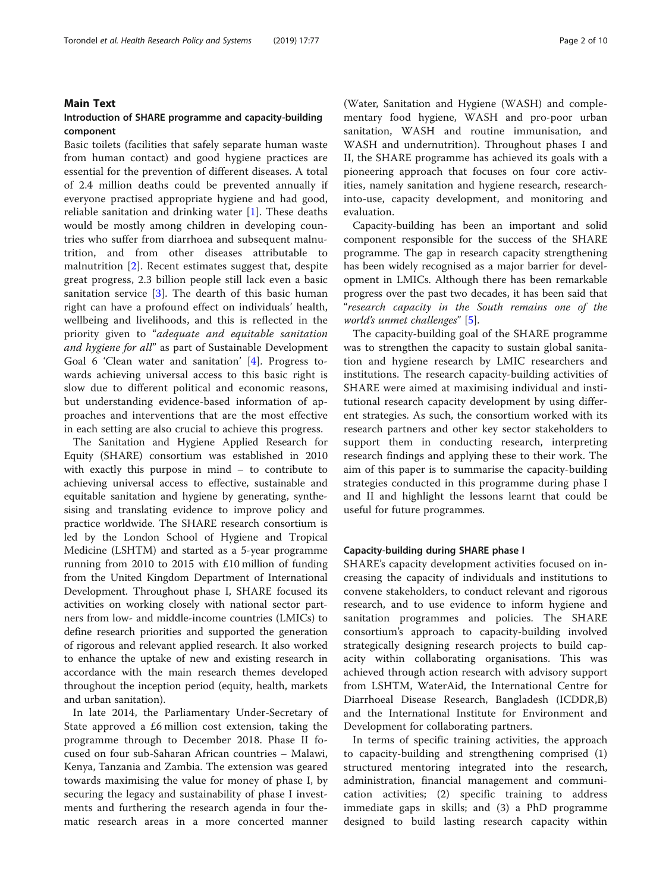#### Main Text

#### Introduction of SHARE programme and capacity-building component

Basic toilets (facilities that safely separate human waste from human contact) and good hygiene practices are essential for the prevention of different diseases. A total of 2.4 million deaths could be prevented annually if everyone practised appropriate hygiene and had good, reliable sanitation and drinking water  $[1]$  $[1]$ . These deaths would be mostly among children in developing countries who suffer from diarrhoea and subsequent malnutrition, and from other diseases attributable to malnutrition [\[2](#page-8-0)]. Recent estimates suggest that, despite great progress, 2.3 billion people still lack even a basic sanitation service  $[3]$  $[3]$  $[3]$ . The dearth of this basic human right can have a profound effect on individuals' health, wellbeing and livelihoods, and this is reflected in the priority given to "adequate and equitable sanitation and hygiene for all" as part of Sustainable Development Goal 6 'Clean water and sanitation' [\[4](#page-8-0)]. Progress towards achieving universal access to this basic right is slow due to different political and economic reasons, but understanding evidence-based information of approaches and interventions that are the most effective in each setting are also crucial to achieve this progress.

The Sanitation and Hygiene Applied Research for Equity (SHARE) consortium was established in 2010 with exactly this purpose in mind – to contribute to achieving universal access to effective, sustainable and equitable sanitation and hygiene by generating, synthesising and translating evidence to improve policy and practice worldwide. The SHARE research consortium is led by the London School of Hygiene and Tropical Medicine (LSHTM) and started as a 5-year programme running from 2010 to 2015 with £10 million of funding from the United Kingdom Department of International Development. Throughout phase I, SHARE focused its activities on working closely with national sector partners from low- and middle-income countries (LMICs) to define research priorities and supported the generation of rigorous and relevant applied research. It also worked to enhance the uptake of new and existing research in accordance with the main research themes developed throughout the inception period (equity, health, markets and urban sanitation).

In late 2014, the Parliamentary Under-Secretary of State approved a £6 million cost extension, taking the programme through to December 2018. Phase II focused on four sub-Saharan African countries – Malawi, Kenya, Tanzania and Zambia. The extension was geared towards maximising the value for money of phase I, by securing the legacy and sustainability of phase I investments and furthering the research agenda in four thematic research areas in a more concerted manner (Water, Sanitation and Hygiene (WASH) and complementary food hygiene, WASH and pro-poor urban sanitation, WASH and routine immunisation, and WASH and undernutrition). Throughout phases I and II, the SHARE programme has achieved its goals with a pioneering approach that focuses on four core activities, namely sanitation and hygiene research, researchinto-use, capacity development, and monitoring and evaluation.

Capacity-building has been an important and solid component responsible for the success of the SHARE programme. The gap in research capacity strengthening has been widely recognised as a major barrier for development in LMICs. Although there has been remarkable progress over the past two decades, it has been said that "research capacity in the South remains one of the world's unmet challenges" [[5\]](#page-8-0).

The capacity-building goal of the SHARE programme was to strengthen the capacity to sustain global sanitation and hygiene research by LMIC researchers and institutions. The research capacity-building activities of SHARE were aimed at maximising individual and institutional research capacity development by using different strategies. As such, the consortium worked with its research partners and other key sector stakeholders to support them in conducting research, interpreting research findings and applying these to their work. The aim of this paper is to summarise the capacity-building strategies conducted in this programme during phase I and II and highlight the lessons learnt that could be useful for future programmes.

#### Capacity-building during SHARE phase I

SHARE's capacity development activities focused on increasing the capacity of individuals and institutions to convene stakeholders, to conduct relevant and rigorous research, and to use evidence to inform hygiene and sanitation programmes and policies. The SHARE consortium's approach to capacity-building involved strategically designing research projects to build capacity within collaborating organisations. This was achieved through action research with advisory support from LSHTM, WaterAid, the International Centre for Diarrhoeal Disease Research, Bangladesh (ICDDR,B) and the International Institute for Environment and Development for collaborating partners.

In terms of specific training activities, the approach to capacity-building and strengthening comprised (1) structured mentoring integrated into the research, administration, financial management and communication activities; (2) specific training to address immediate gaps in skills; and (3) a PhD programme designed to build lasting research capacity within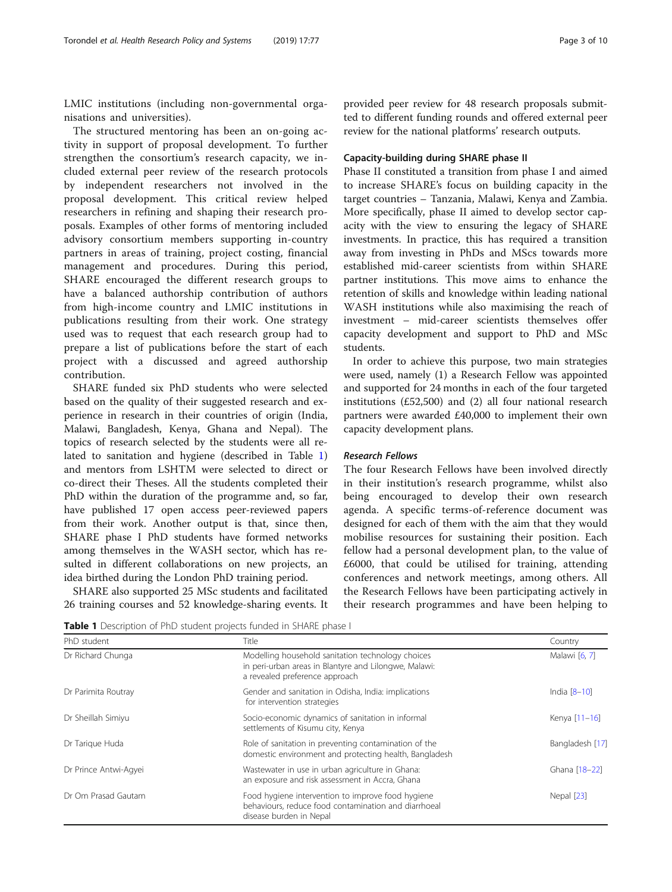LMIC institutions (including non-governmental organisations and universities).

The structured mentoring has been an on-going activity in support of proposal development. To further strengthen the consortium's research capacity, we included external peer review of the research protocols by independent researchers not involved in the proposal development. This critical review helped researchers in refining and shaping their research proposals. Examples of other forms of mentoring included advisory consortium members supporting in-country partners in areas of training, project costing, financial management and procedures. During this period, SHARE encouraged the different research groups to have a balanced authorship contribution of authors from high-income country and LMIC institutions in publications resulting from their work. One strategy used was to request that each research group had to prepare a list of publications before the start of each project with a discussed and agreed authorship contribution.

SHARE funded six PhD students who were selected based on the quality of their suggested research and experience in research in their countries of origin (India, Malawi, Bangladesh, Kenya, Ghana and Nepal). The topics of research selected by the students were all related to sanitation and hygiene (described in Table 1) and mentors from LSHTM were selected to direct or co-direct their Theses. All the students completed their PhD within the duration of the programme and, so far, have published 17 open access peer-reviewed papers from their work. Another output is that, since then, SHARE phase I PhD students have formed networks among themselves in the WASH sector, which has resulted in different collaborations on new projects, an idea birthed during the London PhD training period.

SHARE also supported 25 MSc students and facilitated 26 training courses and 52 knowledge-sharing events. It

provided peer review for 48 research proposals submitted to different funding rounds and offered external peer review for the national platforms' research outputs.

#### Capacity-building during SHARE phase II

Phase II constituted a transition from phase I and aimed to increase SHARE's focus on building capacity in the target countries – Tanzania, Malawi, Kenya and Zambia. More specifically, phase II aimed to develop sector capacity with the view to ensuring the legacy of SHARE investments. In practice, this has required a transition away from investing in PhDs and MScs towards more established mid-career scientists from within SHARE partner institutions. This move aims to enhance the retention of skills and knowledge within leading national WASH institutions while also maximising the reach of investment – mid-career scientists themselves offer capacity development and support to PhD and MSc students.

In order to achieve this purpose, two main strategies were used, namely (1) a Research Fellow was appointed and supported for 24 months in each of the four targeted institutions (£52,500) and (2) all four national research partners were awarded £40,000 to implement their own capacity development plans.

#### Research Fellows

The four Research Fellows have been involved directly in their institution's research programme, whilst also being encouraged to develop their own research agenda. A specific terms-of-reference document was designed for each of them with the aim that they would mobilise resources for sustaining their position. Each fellow had a personal development plan, to the value of £6000, that could be utilised for training, attending conferences and network meetings, among others. All the Research Fellows have been participating actively in their research programmes and have been helping to

Table 1 Description of PhD student projects funded in SHARE phase I

| PhD student           | Title                                                                                                                                        | Country         |
|-----------------------|----------------------------------------------------------------------------------------------------------------------------------------------|-----------------|
| Dr Richard Chunga     | Modelling household sanitation technology choices<br>in peri-urban areas in Blantyre and Lilongwe, Malawi:<br>a revealed preference approach |                 |
| Dr Parimita Routray   | Gender and sanitation in Odisha, India: implications<br>for intervention strategies                                                          | India $[8-10]$  |
| Dr Sheillah Simiyu    | Socio-economic dynamics of sanitation in informal<br>settlements of Kisumu city, Kenya                                                       | Kenya [11-16]   |
| Dr Tarique Huda       | Role of sanitation in preventing contamination of the<br>domestic environment and protecting health, Bangladesh                              | Bangladesh [17] |
| Dr Prince Antwi-Agyei | Wastewater in use in urban agriculture in Ghana:<br>an exposure and risk assessment in Accra, Ghana                                          | Ghana [18-22]   |
| Dr Om Prasad Gautam   | Food hygiene intervention to improve food hygiene<br>behaviours, reduce food contamination and diarrhoeal<br>disease burden in Nepal         | Nepal [23]      |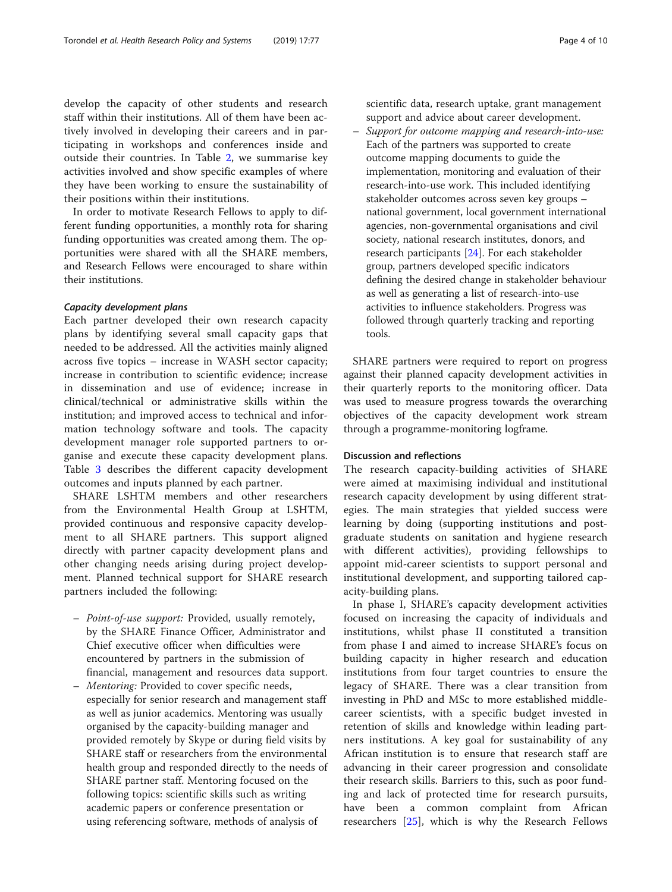develop the capacity of other students and research staff within their institutions. All of them have been actively involved in developing their careers and in participating in workshops and conferences inside and outside their countries. In Table [2](#page-4-0), we summarise key activities involved and show specific examples of where they have been working to ensure the sustainability of their positions within their institutions.

In order to motivate Research Fellows to apply to different funding opportunities, a monthly rota for sharing funding opportunities was created among them. The opportunities were shared with all the SHARE members, and Research Fellows were encouraged to share within their institutions.

#### Capacity development plans

Each partner developed their own research capacity plans by identifying several small capacity gaps that needed to be addressed. All the activities mainly aligned across five topics – increase in WASH sector capacity; increase in contribution to scientific evidence; increase in dissemination and use of evidence; increase in clinical/technical or administrative skills within the institution; and improved access to technical and information technology software and tools. The capacity development manager role supported partners to organise and execute these capacity development plans. Table [3](#page-6-0) describes the different capacity development outcomes and inputs planned by each partner.

SHARE LSHTM members and other researchers from the Environmental Health Group at LSHTM, provided continuous and responsive capacity development to all SHARE partners. This support aligned directly with partner capacity development plans and other changing needs arising during project development. Planned technical support for SHARE research partners included the following:

- Point-of-use support: Provided, usually remotely, by the SHARE Finance Officer, Administrator and Chief executive officer when difficulties were encountered by partners in the submission of financial, management and resources data support.
- *Mentoring:* Provided to cover specific needs, especially for senior research and management staff as well as junior academics. Mentoring was usually organised by the capacity-building manager and provided remotely by Skype or during field visits by SHARE staff or researchers from the environmental health group and responded directly to the needs of SHARE partner staff. Mentoring focused on the following topics: scientific skills such as writing academic papers or conference presentation or using referencing software, methods of analysis of

scientific data, research uptake, grant management support and advice about career development.

– Support for outcome mapping and research-into-use: Each of the partners was supported to create outcome mapping documents to guide the implementation, monitoring and evaluation of their research-into-use work. This included identifying stakeholder outcomes across seven key groups – national government, local government international agencies, non-governmental organisations and civil society, national research institutes, donors, and research participants [[24](#page-8-0)]. For each stakeholder group, partners developed specific indicators defining the desired change in stakeholder behaviour as well as generating a list of research-into-use activities to influence stakeholders. Progress was followed through quarterly tracking and reporting tools.

SHARE partners were required to report on progress against their planned capacity development activities in their quarterly reports to the monitoring officer. Data was used to measure progress towards the overarching objectives of the capacity development work stream through a programme-monitoring logframe.

#### Discussion and reflections

The research capacity-building activities of SHARE were aimed at maximising individual and institutional research capacity development by using different strategies. The main strategies that yielded success were learning by doing (supporting institutions and postgraduate students on sanitation and hygiene research with different activities), providing fellowships to appoint mid-career scientists to support personal and institutional development, and supporting tailored capacity-building plans.

In phase I, SHARE's capacity development activities focused on increasing the capacity of individuals and institutions, whilst phase II constituted a transition from phase I and aimed to increase SHARE's focus on building capacity in higher research and education institutions from four target countries to ensure the legacy of SHARE. There was a clear transition from investing in PhD and MSc to more established middlecareer scientists, with a specific budget invested in retention of skills and knowledge within leading partners institutions. A key goal for sustainability of any African institution is to ensure that research staff are advancing in their career progression and consolidate their research skills. Barriers to this, such as poor funding and lack of protected time for research pursuits, have been a common complaint from African researchers [\[25](#page-8-0)], which is why the Research Fellows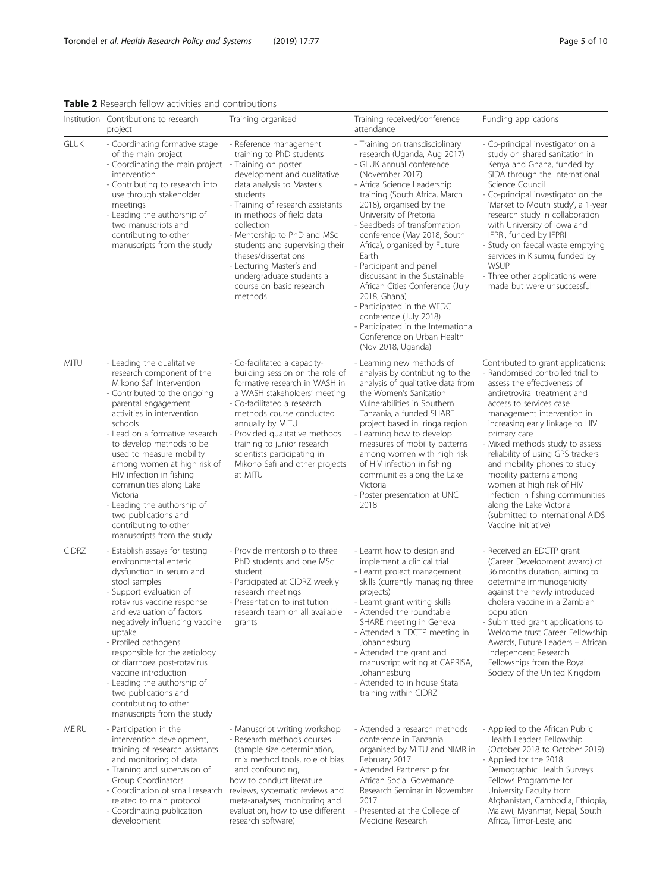<span id="page-4-0"></span>Table 2 Research fellow activities and contributions

|              | Institution Contributions to research<br>project                                                                                                                                                                                                                                                                                                                                                                                                                                            | Training organised                                                                                                                                                                                                                                                                                                                                                                                | Training received/conference<br>attendance                                                                                                                                                                                                                                                                                                                                                                                                                                                                                                                                                                   | Funding applications                                                                                                                                                                                                                                                                                                                                                                                                                                                                                                                        |
|--------------|---------------------------------------------------------------------------------------------------------------------------------------------------------------------------------------------------------------------------------------------------------------------------------------------------------------------------------------------------------------------------------------------------------------------------------------------------------------------------------------------|---------------------------------------------------------------------------------------------------------------------------------------------------------------------------------------------------------------------------------------------------------------------------------------------------------------------------------------------------------------------------------------------------|--------------------------------------------------------------------------------------------------------------------------------------------------------------------------------------------------------------------------------------------------------------------------------------------------------------------------------------------------------------------------------------------------------------------------------------------------------------------------------------------------------------------------------------------------------------------------------------------------------------|---------------------------------------------------------------------------------------------------------------------------------------------------------------------------------------------------------------------------------------------------------------------------------------------------------------------------------------------------------------------------------------------------------------------------------------------------------------------------------------------------------------------------------------------|
| GLUK         | - Coordinating formative stage<br>of the main project<br>- Coordinating the main project - Training on poster<br>intervention<br>- Contributing to research into<br>use through stakeholder<br>meetings<br>- Leading the authorship of<br>two manuscripts and<br>contributing to other<br>manuscripts from the study                                                                                                                                                                        | - Reference management<br>training to PhD students<br>development and qualitative<br>data analysis to Master's<br>students<br>- Training of research assistants<br>in methods of field data<br>collection<br>- Mentorship to PhD and MSc<br>students and supervising their<br>theses/dissertations<br>- Lecturing Master's and<br>undergraduate students a<br>course on basic research<br>methods | - Training on transdisciplinary<br>research (Uganda, Aug 2017)<br>- GLUK annual conference<br>(November 2017)<br>- Africa Science Leadership<br>training (South Africa, March<br>2018), organised by the<br>University of Pretoria<br>- Seedbeds of transformation<br>conference (May 2018, South<br>Africa), organised by Future<br>Earth<br>- Participant and panel<br>discussant in the Sustainable<br>African Cities Conference (July<br>2018, Ghana)<br>- Participated in the WEDC<br>conference (July 2018)<br>- Participated in the International<br>Conference on Urban Health<br>(Nov 2018, Uganda) | - Co-principal investigator on a<br>study on shared sanitation in<br>Kenya and Ghana, funded by<br>SIDA through the International<br>Science Council<br>- Co-principal investigator on the<br>'Market to Mouth study', a 1-year<br>research study in collaboration<br>with University of Iowa and<br>IFPRI, funded by IFPRI<br>- Study on faecal waste emptying<br>services in Kisumu, funded by<br><b>WSUP</b><br>- Three other applications were<br>made but were unsuccessful                                                            |
| <b>MITU</b>  | - Leading the qualitative<br>research component of the<br>Mikono Safi Intervention<br>- Contributed to the ongoing<br>parental engagement<br>activities in intervention<br>schools<br>- Lead on a formative research<br>to develop methods to be<br>used to measure mobility<br>among women at high risk of<br>HIV infection in fishing<br>communities along Lake<br>Victoria<br>- Leading the authorship of<br>two publications and<br>contributing to other<br>manuscripts from the study | - Co-facilitated a capacity-<br>building session on the role of<br>formative research in WASH in<br>a WASH stakeholders' meeting<br>- Co-facilitated a research<br>methods course conducted<br>annually by MITU<br>- Provided qualitative methods<br>training to junior research<br>scientists participating in<br>Mikono Safi and other projects<br>at MITU                                      | - Learning new methods of<br>analysis by contributing to the<br>analysis of qualitative data from<br>the Women's Sanitation<br>Vulnerabilities in Southern<br>Tanzania, a funded SHARE<br>project based in Iringa region<br>- Learning how to develop<br>measures of mobility patterns<br>among women with high risk<br>of HIV infection in fishing<br>communities along the Lake<br>Victoria<br>- Poster presentation at UNC<br>2018                                                                                                                                                                        | Contributed to grant applications:<br>- Randomised controlled trial to<br>assess the effectiveness of<br>antiretroviral treatment and<br>access to services case<br>management intervention in<br>increasing early linkage to HIV<br>primary care<br>- Mixed methods study to assess<br>reliability of using GPS trackers<br>and mobility phones to study<br>mobility patterns among<br>women at high risk of HIV<br>infection in fishing communities<br>along the Lake Victoria<br>(submitted to International AIDS<br>Vaccine Initiative) |
| <b>CIDRZ</b> | - Establish assays for testing<br>environmental enteric<br>dysfunction in serum and<br>stool samples<br>- Support evaluation of<br>rotavirus vaccine response<br>and evaluation of factors<br>negatively influencing vaccine<br>uptake<br>- Profiled pathogens<br>responsible for the aetiology<br>of diarrhoea post-rotavirus<br>vaccine introduction<br>- Leading the authorship of<br>two publications and<br>contributing to other<br>manuscripts from the study                        | - Provide mentorship to three<br>PhD students and one MSc<br>student<br>- Participated at CIDRZ weekly<br>research meetings<br>- Presentation to institution<br>research team on all available<br>grants                                                                                                                                                                                          | - Learnt how to design and<br>implement a clinical trial<br>- Learnt project management<br>skills (currently managing three<br>projects)<br>- Learnt grant writing skills<br>- Attended the roundtable<br>SHARE meeting in Geneva<br>- Attended a EDCTP meeting in<br>Johannesburg<br>- Attended the grant and<br>manuscript writing at CAPRISA,<br>Johannesburg<br>- Attended to in house Stata<br>training within CIDRZ                                                                                                                                                                                    | - Received an EDCTP grant<br>(Career Development award) of<br>36 months duration, aiming to<br>determine immunogenicity<br>against the newly introduced<br>cholera vaccine in a Zambian<br>population<br>- Submitted grant applications to<br>Welcome trust Career Fellowship<br>Awards, Future Leaders - African<br>Independent Research<br>Fellowships from the Royal<br>Society of the United Kingdom                                                                                                                                    |
| <b>MEIRU</b> | - Participation in the<br>intervention development,<br>training of research assistants<br>and monitoring of data<br>- Training and supervision of<br>Group Coordinators<br>- Coordination of small research<br>related to main protocol<br>- Coordinating publication<br>development                                                                                                                                                                                                        | - Manuscript writing workshop<br>- Research methods courses<br>(sample size determination,<br>mix method tools, role of bias<br>and confounding,<br>how to conduct literature<br>reviews, systematic reviews and<br>meta-analyses, monitoring and<br>evaluation, how to use different<br>research software)                                                                                       | - Attended a research methods<br>conference in Tanzania<br>organised by MITU and NIMR in<br>February 2017<br>- Attended Partnership for<br>African Social Governance<br>Research Seminar in November<br>2017<br>- Presented at the College of<br>Medicine Research                                                                                                                                                                                                                                                                                                                                           | - Applied to the African Public<br>Health Leaders Fellowship<br>(October 2018 to October 2019)<br>- Applied for the 2018<br>Demographic Health Surveys<br>Fellows Programme for<br>University Faculty from<br>Afghanistan, Cambodia, Ethiopia,<br>Malawi, Myanmar, Nepal, South<br>Africa, Timor-Leste, and                                                                                                                                                                                                                                 |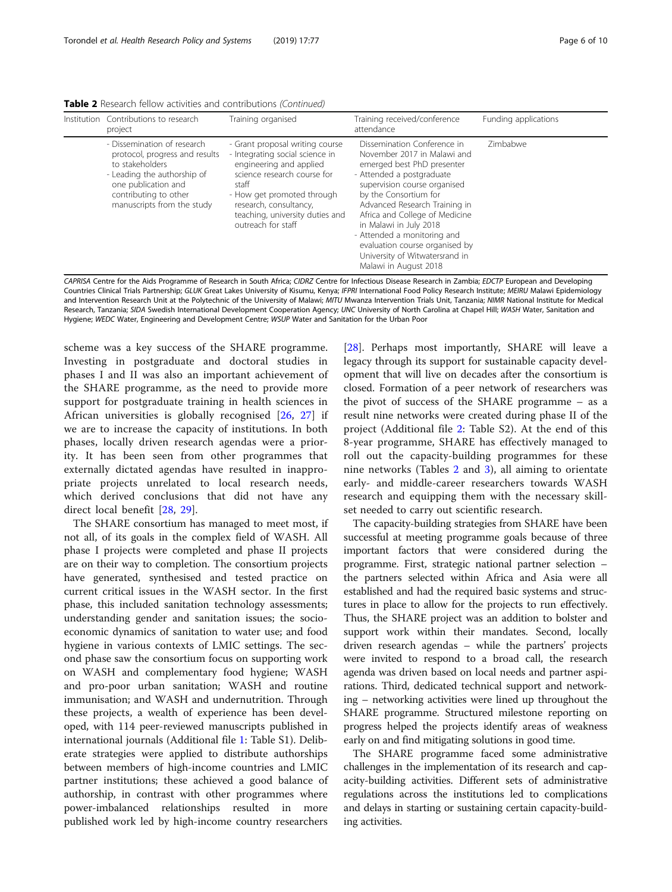Table 2 Research fellow activities and contributions (Continued)

| Institution Contributions to research<br>project                                                                                                                                              | Training organised                                                                                                                                                                                                                                     | Training received/conference<br>attendance                                                                                                                                                                                                                                                                                                                                                              | Funding applications |
|-----------------------------------------------------------------------------------------------------------------------------------------------------------------------------------------------|--------------------------------------------------------------------------------------------------------------------------------------------------------------------------------------------------------------------------------------------------------|---------------------------------------------------------------------------------------------------------------------------------------------------------------------------------------------------------------------------------------------------------------------------------------------------------------------------------------------------------------------------------------------------------|----------------------|
| - Dissemination of research<br>protocol, progress and results<br>to stakeholders<br>- Leading the authorship of<br>one publication and<br>contributing to other<br>manuscripts from the study | - Grant proposal writing course<br>- Integrating social science in<br>engineering and applied<br>science research course for<br>staff<br>- How get promoted through<br>research, consultancy,<br>teaching, university duties and<br>outreach for staff | Dissemination Conference in<br>November 2017 in Malawi and<br>emerged best PhD presenter<br>- Attended a postgraduate<br>supervision course organised<br>by the Consortium for<br>Advanced Research Training in<br>Africa and College of Medicine<br>in Malawi in July 2018<br>- Attended a monitoring and<br>evaluation course organised by<br>University of Witwatersrand in<br>Malawi in August 2018 | <b>Zimbabwe</b>      |

CAPRISA Centre for the Aids Programme of Research in South Africa; CIDRZ Centre for Infectious Disease Research in Zambia; EDCTP European and Developing Countries Clinical Trials Partnership; GLUK Great Lakes University of Kisumu, Kenya; IFPRI International Food Policy Research Institute; MEIRU Malawi Epidemiology and Intervention Research Unit at the Polytechnic of the University of Malawi; MITU Mwanza Intervention Trials Unit, Tanzania; NIMR National Institute for Medical Research, Tanzania; SIDA Swedish International Development Cooperation Agency; UNC University of North Carolina at Chapel Hill; WASH Water, Sanitation and Hygiene; WEDC Water, Engineering and Development Centre; WSUP Water and Sanitation for the Urban Poor

scheme was a key success of the SHARE programme. Investing in postgraduate and doctoral studies in phases I and II was also an important achievement of the SHARE programme, as the need to provide more support for postgraduate training in health sciences in African universities is globally recognised [[26,](#page-8-0) [27](#page-9-0)] if we are to increase the capacity of institutions. In both phases, locally driven research agendas were a priority. It has been seen from other programmes that externally dictated agendas have resulted in inappropriate projects unrelated to local research needs, which derived conclusions that did not have any direct local benefit [[28,](#page-9-0) [29\]](#page-9-0).

The SHARE consortium has managed to meet most, if not all, of its goals in the complex field of WASH. All phase I projects were completed and phase II projects are on their way to completion. The consortium projects have generated, synthesised and tested practice on current critical issues in the WASH sector. In the first phase, this included sanitation technology assessments; understanding gender and sanitation issues; the socioeconomic dynamics of sanitation to water use; and food hygiene in various contexts of LMIC settings. The second phase saw the consortium focus on supporting work on WASH and complementary food hygiene; WASH and pro-poor urban sanitation; WASH and routine immunisation; and WASH and undernutrition. Through these projects, a wealth of experience has been developed, with 114 peer-reviewed manuscripts published in international journals (Additional file [1:](#page-8-0) Table S1). Deliberate strategies were applied to distribute authorships between members of high-income countries and LMIC partner institutions; these achieved a good balance of authorship, in contrast with other programmes where power-imbalanced relationships resulted in more published work led by high-income country researchers

[[28\]](#page-9-0). Perhaps most importantly, SHARE will leave a legacy through its support for sustainable capacity development that will live on decades after the consortium is closed. Formation of a peer network of researchers was the pivot of success of the SHARE programme – as a result nine networks were created during phase II of the project (Additional file [2](#page-8-0): Table S2). At the end of this 8-year programme, SHARE has effectively managed to roll out the capacity-building programmes for these nine networks (Tables [2](#page-4-0) and [3\)](#page-6-0), all aiming to orientate early- and middle-career researchers towards WASH research and equipping them with the necessary skillset needed to carry out scientific research.

The capacity-building strategies from SHARE have been successful at meeting programme goals because of three important factors that were considered during the programme. First, strategic national partner selection – the partners selected within Africa and Asia were all established and had the required basic systems and structures in place to allow for the projects to run effectively. Thus, the SHARE project was an addition to bolster and support work within their mandates. Second, locally driven research agendas – while the partners' projects were invited to respond to a broad call, the research agenda was driven based on local needs and partner aspirations. Third, dedicated technical support and networking – networking activities were lined up throughout the SHARE programme. Structured milestone reporting on progress helped the projects identify areas of weakness early on and find mitigating solutions in good time.

The SHARE programme faced some administrative challenges in the implementation of its research and capacity-building activities. Different sets of administrative regulations across the institutions led to complications and delays in starting or sustaining certain capacity-building activities.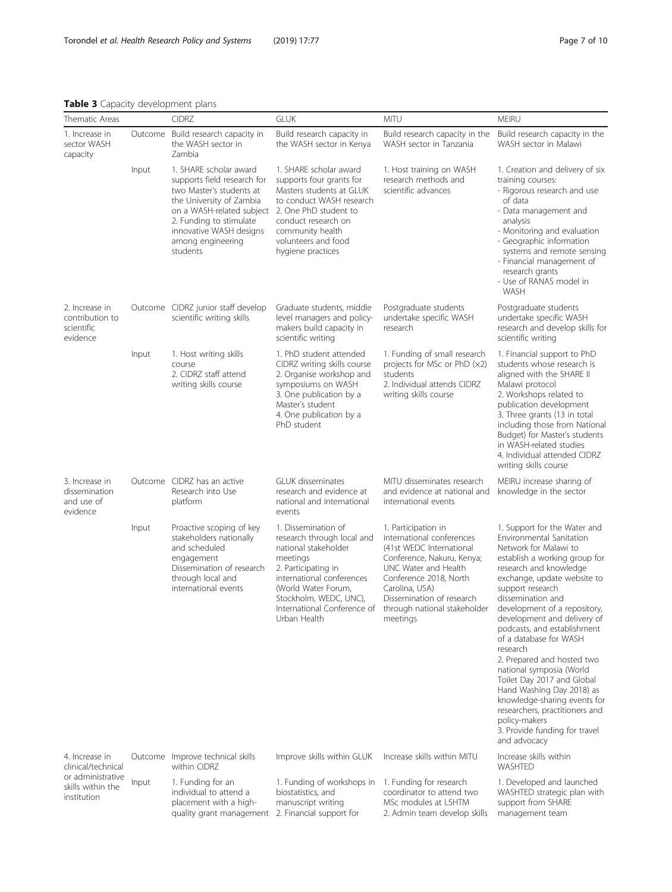#### <span id="page-6-0"></span>Table 3 Capacity development plans

| Thematic Areas                                              |         | <b>CIDRZ</b>                                                                                                                                                                                                                                            | <b>GLUK</b>                                                                                                                                                                                                                               | <b>MITU</b>                                                                                                                                                                                                                                             | <b>MEIRU</b>                                                                                                                                                                                                                                                                                                                                                                                                                                                                                                                                                                                                      |
|-------------------------------------------------------------|---------|---------------------------------------------------------------------------------------------------------------------------------------------------------------------------------------------------------------------------------------------------------|-------------------------------------------------------------------------------------------------------------------------------------------------------------------------------------------------------------------------------------------|---------------------------------------------------------------------------------------------------------------------------------------------------------------------------------------------------------------------------------------------------------|-------------------------------------------------------------------------------------------------------------------------------------------------------------------------------------------------------------------------------------------------------------------------------------------------------------------------------------------------------------------------------------------------------------------------------------------------------------------------------------------------------------------------------------------------------------------------------------------------------------------|
| 1. Increase in<br>sector WASH<br>capacity                   | Outcome | Build research capacity in<br>the WASH sector in<br>Zambia                                                                                                                                                                                              | Build research capacity in<br>the WASH sector in Kenya                                                                                                                                                                                    | Build research capacity in the<br>WASH sector in Tanzania                                                                                                                                                                                               | Build research capacity in the<br>WASH sector in Malawi                                                                                                                                                                                                                                                                                                                                                                                                                                                                                                                                                           |
|                                                             | Input   | 1. SHARE scholar award<br>supports field research for<br>two Master's students at<br>the University of Zambia<br>on a WASH-related subject 2. One PhD student to<br>2. Funding to stimulate<br>innovative WASH designs<br>among engineering<br>students | 1. SHARE scholar award<br>supports four grants for<br>Masters students at GLUK<br>to conduct WASH research<br>conduct research on<br>community health<br>volunteers and food<br>hygiene practices                                         | 1. Host training on WASH<br>research methods and<br>scientific advances                                                                                                                                                                                 | 1. Creation and delivery of six<br>training courses:<br>- Rigorous research and use<br>of data<br>- Data management and<br>analysis<br>- Monitoring and evaluation<br>- Geographic information<br>systems and remote sensing<br>- Financial management of<br>research grants<br>- Use of RANAS model in<br>WASH                                                                                                                                                                                                                                                                                                   |
| 2. Increase in<br>contribution to<br>scientific<br>evidence |         | Outcome CIDRZ junior staff develop<br>scientific writing skills                                                                                                                                                                                         | Graduate students, middle<br>level managers and policy-<br>makers build capacity in<br>scientific writing                                                                                                                                 | Postgraduate students<br>undertake specific WASH<br>research                                                                                                                                                                                            | Postgraduate students<br>undertake specific WASH<br>research and develop skills for<br>scientific writing                                                                                                                                                                                                                                                                                                                                                                                                                                                                                                         |
|                                                             | Input   | 1. Host writing skills<br>course<br>2. CIDRZ staff attend<br>writing skills course                                                                                                                                                                      | 1. PhD student attended<br>CIDRZ writing skills course<br>2. Organise workshop and<br>symposiums on WASH<br>3. One publication by a<br>Master's student<br>4. One publication by a<br>PhD student                                         | 1. Funding of small research<br>projects for MSc or $PhD$ ( $\times$ 2)<br>students<br>2. Individual attends CIDRZ<br>writing skills course                                                                                                             | 1. Financial support to PhD<br>students whose research is<br>aligned with the SHARE II<br>Malawi protocol<br>2. Workshops related to<br>publication development<br>3. Three grants (13 in total<br>including those from National<br>Budget) for Master's students<br>in WASH-related studies<br>4. Individual attended CIDRZ<br>writing skills course                                                                                                                                                                                                                                                             |
| 3. Increase in<br>dissemination<br>and use of<br>evidence   |         | Outcome CIDRZ has an active<br>Research into Use<br>platform                                                                                                                                                                                            | <b>GLUK</b> disseminates<br>research and evidence at<br>national and international<br>events                                                                                                                                              | MITU disseminates research<br>and evidence at national and<br>international events                                                                                                                                                                      | MEIRU increase sharing of<br>knowledge in the sector                                                                                                                                                                                                                                                                                                                                                                                                                                                                                                                                                              |
|                                                             | Input   | Proactive scoping of key<br>stakeholders nationally<br>and scheduled<br>engagement<br>Dissemination of research<br>through local and<br>international events                                                                                            | 1. Dissemination of<br>research through local and<br>national stakeholder<br>meetings<br>2. Participating in<br>international conferences<br>(World Water Forum,<br>Stockholm, WEDC, UNC),<br>International Conference of<br>Urban Health | 1. Participation in<br>international conferences<br>(41st WEDC International<br>Conference, Nakuru, Kenya;<br>UNC Water and Health<br>Conference 2018, North<br>Carolina, USA)<br>Dissemination of research<br>through national stakeholder<br>meetings | 1. Support for the Water and<br>Environmental Sanitation<br>Network for Malawi to<br>establish a working group for<br>research and knowledge<br>exchange, update website to<br>support research<br>dissemination and<br>development of a repository,<br>development and delivery of<br>podcasts, and establishment<br>of a database for WASH<br>research<br>2. Prepared and hosted two<br>national symposia (World<br>Toilet Day 2017 and Global<br>Hand Washing Day 2018) as<br>knowledge-sharing events for<br>researchers, practitioners and<br>policy-makers<br>3. Provide funding for travel<br>and advocacy |
| 4. Increase in<br>clinical/technical                        |         | Outcome Improve technical skills<br>within CIDRZ                                                                                                                                                                                                        | Improve skills within GLUK                                                                                                                                                                                                                | Increase skills within MITU                                                                                                                                                                                                                             | Increase skills within<br>WASHTED                                                                                                                                                                                                                                                                                                                                                                                                                                                                                                                                                                                 |
| or administrative<br>skills within the<br>institution       | Input   | 1. Funding for an<br>individual to attend a<br>placement with a high-<br>quality grant management                                                                                                                                                       | 1. Funding of workshops in<br>biostatistics, and<br>manuscript writing<br>2. Financial support for                                                                                                                                        | 1. Funding for research<br>coordinator to attend two<br>MSc modules at LSHTM<br>2. Admin team develop skills                                                                                                                                            | 1. Developed and launched<br>WASHTED strategic plan with<br>support from SHARE<br>management team                                                                                                                                                                                                                                                                                                                                                                                                                                                                                                                 |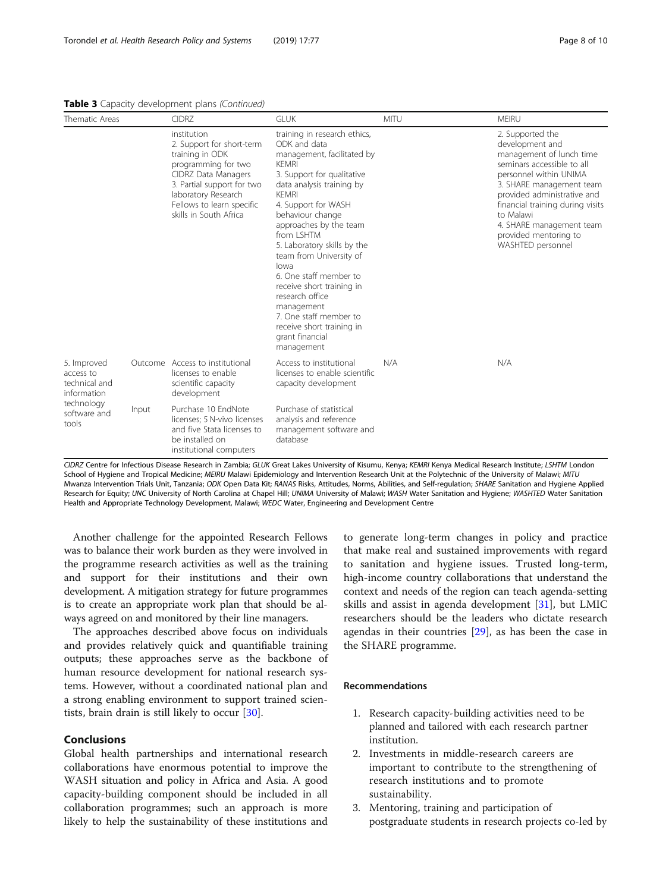Table 3 Capacity development plans (Continued)

| Thematic Areas                                                                                  |         | <b>CIDRZ</b>                                                                                                                                                                                                          | <b>GLUK</b>                                                                                                                                                                                                                                                                                                                                                                                                                                                                                                 | <b>MITU</b> | MEIRU                                                                                                                                                                                                                                                                                                         |
|-------------------------------------------------------------------------------------------------|---------|-----------------------------------------------------------------------------------------------------------------------------------------------------------------------------------------------------------------------|-------------------------------------------------------------------------------------------------------------------------------------------------------------------------------------------------------------------------------------------------------------------------------------------------------------------------------------------------------------------------------------------------------------------------------------------------------------------------------------------------------------|-------------|---------------------------------------------------------------------------------------------------------------------------------------------------------------------------------------------------------------------------------------------------------------------------------------------------------------|
|                                                                                                 |         | institution<br>2. Support for short-term<br>training in ODK<br>programming for two<br>CIDRZ Data Managers<br>3. Partial support for two<br>laboratory Research<br>Fellows to learn specific<br>skills in South Africa | training in research ethics,<br>ODK and data<br>management, facilitated by<br><b>KEMRI</b><br>3. Support for qualitative<br>data analysis training by<br><b>KEMRI</b><br>4. Support for WASH<br>behaviour change<br>approaches by the team<br>from I SHTM<br>5. Laboratory skills by the<br>team from University of<br>lowa<br>6. One staff member to<br>receive short training in<br>research office<br>management<br>7. One staff member to<br>receive short training in<br>grant financial<br>management |             | 2. Supported the<br>development and<br>management of lunch time<br>seminars accessible to all<br>personnel within UNIMA<br>3. SHARE management team<br>provided administrative and<br>financial training during visits<br>to Malawi<br>4. SHARE management team<br>provided mentoring to<br>WASHTED personnel |
| 5. Improved<br>access to<br>technical and<br>information<br>technology<br>software and<br>tools | Outcome | Access to institutional<br>licenses to enable<br>scientific capacity<br>development                                                                                                                                   | Access to institutional<br>licenses to enable scientific<br>capacity development                                                                                                                                                                                                                                                                                                                                                                                                                            | N/A         | N/A                                                                                                                                                                                                                                                                                                           |
|                                                                                                 | Input   | Purchase 10 EndNote<br>licenses; 5 N-vivo licenses<br>and five Stata licenses to<br>be installed on<br>institutional computers                                                                                        | Purchase of statistical<br>analysis and reference<br>management software and<br>database                                                                                                                                                                                                                                                                                                                                                                                                                    |             |                                                                                                                                                                                                                                                                                                               |

CIDRZ Centre for Infectious Disease Research in Zambia; GLUK Great Lakes University of Kisumu, Kenya; KEMRI Kenya Medical Research Institute; LSHTM London School of Hygiene and Tropical Medicine; MEIRU Malawi Epidemiology and Intervention Research Unit at the Polytechnic of the University of Malawi; MITU Mwanza Intervention Trials Unit, Tanzania; ODK Open Data Kit; RANAS Risks, Attitudes, Norms, Abilities, and Self-regulation; SHARE Sanitation and Hygiene Applied Research for Equity; UNC University of North Carolina at Chapel Hill; UNIMA University of Malawi; WASH Water Sanitation and Hygiene; WASHTED Water Sanitation Health and Appropriate Technology Development, Malawi; WEDC Water, Engineering and Development Centre

Another challenge for the appointed Research Fellows was to balance their work burden as they were involved in the programme research activities as well as the training and support for their institutions and their own development. A mitigation strategy for future programmes is to create an appropriate work plan that should be always agreed on and monitored by their line managers.

The approaches described above focus on individuals and provides relatively quick and quantifiable training outputs; these approaches serve as the backbone of human resource development for national research systems. However, without a coordinated national plan and a strong enabling environment to support trained scientists, brain drain is still likely to occur [\[30](#page-9-0)].

#### Conclusions

Global health partnerships and international research collaborations have enormous potential to improve the WASH situation and policy in Africa and Asia. A good capacity-building component should be included in all collaboration programmes; such an approach is more likely to help the sustainability of these institutions and to generate long-term changes in policy and practice that make real and sustained improvements with regard to sanitation and hygiene issues. Trusted long-term, high-income country collaborations that understand the context and needs of the region can teach agenda-setting skills and assist in agenda development [\[31](#page-9-0)], but LMIC researchers should be the leaders who dictate research agendas in their countries  $[29]$  $[29]$ , as has been the case in the SHARE programme.

#### Recommendations

- 1. Research capacity-building activities need to be planned and tailored with each research partner institution.
- 2. Investments in middle-research careers are important to contribute to the strengthening of research institutions and to promote sustainability.
- 3. Mentoring, training and participation of postgraduate students in research projects co-led by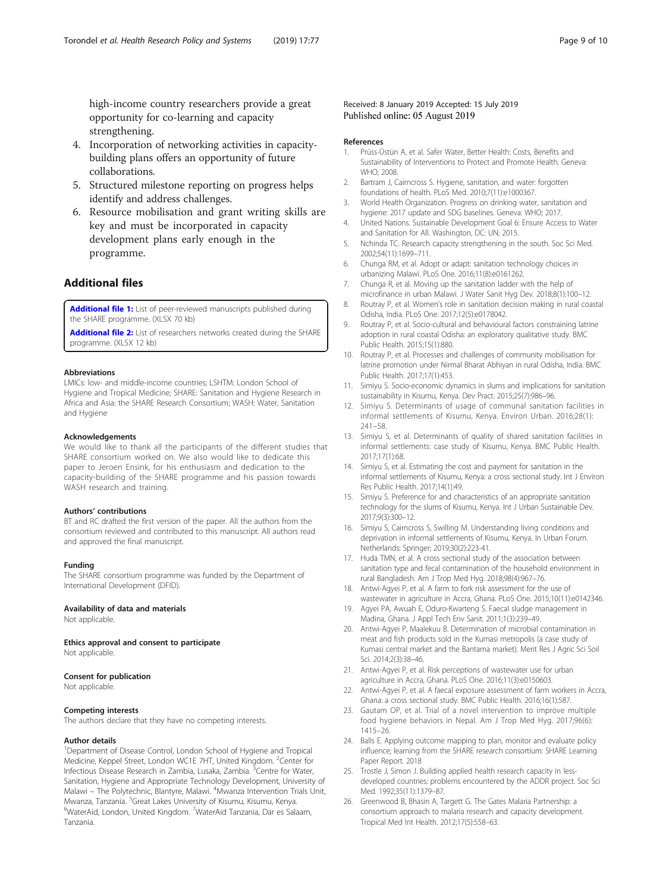<span id="page-8-0"></span>high-income country researchers provide a great opportunity for co-learning and capacity strengthening.

- 4. Incorporation of networking activities in capacitybuilding plans offers an opportunity of future collaborations.
- 5. Structured milestone reporting on progress helps identify and address challenges.
- 6. Resource mobilisation and grant writing skills are key and must be incorporated in capacity development plans early enough in the programme.

#### Additional files

[Additional file 1:](https://doi.org/10.1186/s12961-019-0478-2) List of peer-reviewed manuscripts published during the SHARE programme. (XLSX 70 kb)

[Additional file 2:](https://doi.org/10.1186/s12961-019-0478-2) List of researchers networks created during the SHARE programme. (XLSX 12 kb)

#### Abbreviations

LMICs: low- and middle-income countries; LSHTM: London School of Hygiene and Tropical Medicine; SHARE: Sanitation and Hygiene Research in Africa and Asia: the SHARE Research Consortium; WASH: Water, Sanitation and Hygiene

#### Acknowledgements

We would like to thank all the participants of the different studies that SHARE consortium worked on. We also would like to dedicate this paper to Jeroen Ensink, for his enthusiasm and dedication to the capacity-building of the SHARE programme and his passion towards WASH research and training.

#### Authors' contributions

BT and RC drafted the first version of the paper. All the authors from the consortium reviewed and contributed to this manuscript. All authors read and approved the final manuscript.

#### Funding

The SHARE consortium programme was funded by the Department of International Development (DFID).

#### Availability of data and materials

Not applicable.

Ethics approval and consent to participate

#### Not applicable.

#### Consent for publication

Not applicable.

#### Competing interests

The authors declare that they have no competing interests.

#### Author details

<sup>1</sup>Department of Disease Control, London School of Hygiene and Tropical Medicine, Keppel Street, London WC1E 7HT, United Kingdom. <sup>2</sup>Center for Infectious Disease Research in Zambia, Lusaka, Zambia. <sup>3</sup>Centre for Water, Sanitation, Hygiene and Appropriate Technology Development, University of Malawi - The Polytechnic, Blantyre, Malawi. <sup>4</sup>Mwanza Intervention Trials Unit, Mwanza, Tanzania. <sup>5</sup>Great Lakes University of Kisumu, Kisumu, Kenya.<br><sup>6</sup>WaterAid London, United Kingdom. <sup>7</sup>WaterAid Tanzania. Dar es Sal WaterAid, London, United Kingdom. <sup>7</sup>WaterAid Tanzania, Dar es Salaam, Tanzania.

Received: 8 January 2019 Accepted: 15 July 2019 Published online: 05 August 2019

#### References

- 1. Prüss-Üstün A, et al. Safer Water, Better Health: Costs, Benefits and Sustainability of Interventions to Protect and Promote Health. Geneva: WHO; 2008.
- 2. Bartram J, Cairncross S. Hygiene, sanitation, and water: forgotten foundations of health. PLoS Med. 2010;7(11):e1000367.
- 3. World Health Organization. Progress on drinking water, sanitation and hygiene: 2017 update and SDG baselines. Geneva: WHO; 2017.
- 4. United Nations. Sustainable Development Goal 6: Ensure Access to Water and Sanitation for All. Washington, DC: UN; 2015.
- 5. Nchinda TC. Research capacity strengthening in the south. Soc Sci Med. 2002;54(11):1699–711.
- 6. Chunga RM, et al. Adopt or adapt: sanitation technology choices in urbanizing Malawi. PLoS One. 2016;11(8):e0161262.
- 7. Chunga R, et al. Moving up the sanitation ladder with the help of microfinance in urban Malawi. J Water Sanit Hyg Dev. 2018;8(1):100–12.
- 8. Routray P, et al. Women's role in sanitation decision making in rural coastal Odisha, India. PLoS One. 2017;12(5):e0178042.
- 9. Routray P, et al. Socio-cultural and behavioural factors constraining latrine adoption in rural coastal Odisha: an exploratory qualitative study. BMC Public Health. 2015;15(1):880.
- 10. Routray P, et al. Processes and challenges of community mobilisation for latrine promotion under Nirmal Bharat Abhiyan in rural Odisha, India. BMC Public Health. 2017;17(1):453.
- 11. Simiyu S. Socio-economic dynamics in slums and implications for sanitation sustainability in Kisumu, Kenya. Dev Pract. 2015;25(7):986–96.
- 12. Simiyu S. Determinants of usage of communal sanitation facilities in informal settlements of Kisumu, Kenya. Environ Urban. 2016;28(1): 241–58.
- 13. Simiyu S, et al. Determinants of quality of shared sanitation facilities in informal settlements: case study of Kisumu, Kenya. BMC Public Health. 2017;17(1):68.
- 14. Simiyu S, et al. Estimating the cost and payment for sanitation in the informal settlements of Kisumu, Kenya: a cross sectional study. Int J Environ Res Public Health. 2017;14(1):49.
- 15. Simiyu S. Preference for and characteristics of an appropriate sanitation technology for the slums of Kisumu, Kenya. Int J Urban Sustainable Dev. 2017;9(3):300–12.
- 16. Simiyu S, Cairncross S, Swilling M. Understanding living conditions and deprivation in informal settlements of Kisumu, Kenya. In Urban Forum. Netherlands: Springer; 2019;30(2):223-41.
- 17. Huda TMN, et al. A cross sectional study of the association between sanitation type and fecal contamination of the household environment in rural Bangladesh. Am J Trop Med Hyg. 2018;98(4):967–76.
- 18. Antwi-Agyei P, et al. A farm to fork risk assessment for the use of wastewater in agriculture in Accra, Ghana. PLoS One. 2015;10(11):e0142346.
- 19. Agyei PA, Awuah E, Oduro-Kwarteng S. Faecal sludge management in Madina, Ghana. J Appl Tech Env Sanit. 2011;1(3):239–49.
- 20. Antwi-Agyei P, Maalekuu B. Determination of microbial contamination in meat and fish products sold in the Kumasi metropolis (a case study of Kumasi central market and the Bantama market). Merit Res J Agric Sci Soil Sci. 2014;2(3):38–46.
- 21. Antwi-Agyei P, et al. Risk perceptions of wastewater use for urban agriculture in Accra, Ghana. PLoS One. 2016;11(3):e0150603.
- 22. Antwi-Agyei P, et al. A faecal exposure assessment of farm workers in Accra, Ghana: a cross sectional study. BMC Public Health. 2016;16(1):587.
- 23. Gautam OP, et al. Trial of a novel intervention to improve multiple food hygiene behaviors in Nepal. Am J Trop Med Hyg. 2017;96(6): 1415–26.
- 24. Balls E. Applying outcome mapping to plan, monitor and evaluate policy influence; learning from the SHARE research consortium: SHARE Learning Paper Report. 2018
- 25. Trostle J, Simon J. Building applied health research capacity in lessdeveloped countries: problems encountered by the ADDR project. Soc Sci Med. 1992;35(11):1379–87.
- 26. Greenwood B, Bhasin A, Targett G. The Gates Malaria Partnership: a consortium approach to malaria research and capacity development. Tropical Med Int Health. 2012;17(5):558–63.